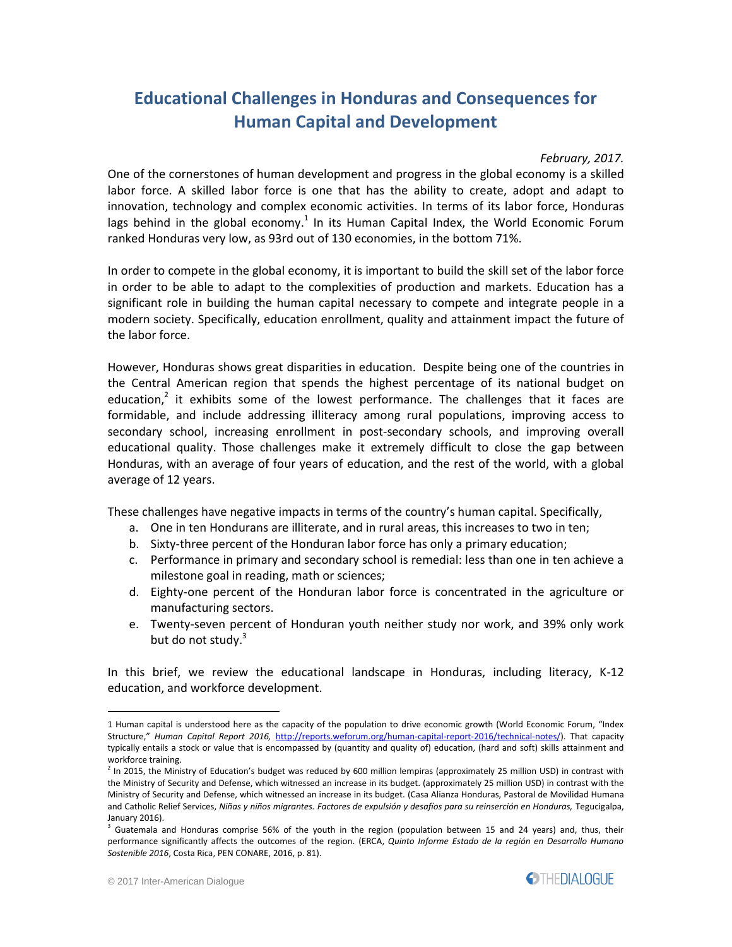## **Educational Challenges in Honduras and Consequences for Human Capital and Development**

#### *February, 2017.*

One of the cornerstones of human development and progress in the global economy is a skilled labor force. A skilled labor force is one that has the ability to create, adopt and adapt to innovation, technology and complex economic activities. In terms of its labor force, Honduras lags behind in the global economy.<sup>1</sup> In its Human Capital Index, the World Economic Forum ranked Honduras very low, as 93rd out of 130 economies, in the bottom 71%.

In order to compete in the global economy, it is important to build the skill set of the labor force in order to be able to adapt to the complexities of production and markets. Education has a significant role in building the human capital necessary to compete and integrate people in a modern society. Specifically, education enrollment, quality and attainment impact the future of the labor force.

However, Honduras shows great disparities in education. Despite being one of the countries in the Central American region that spends the highest percentage of its national budget on education,<sup>2</sup> it exhibits some of the lowest performance. The challenges that it faces are formidable, and include addressing illiteracy among rural populations, improving access to secondary school, increasing enrollment in post-secondary schools, and improving overall educational quality. Those challenges make it extremely difficult to close the gap between Honduras, with an average of four years of education, and the rest of the world, with a global average of 12 years.

These challenges have negative impacts in terms of the country's human capital. Specifically,

- a. One in ten Hondurans are illiterate, and in rural areas, this increases to two in ten;
- b. Sixty-three percent of the Honduran labor force has only a primary education;
- c. Performance in primary and secondary school is remedial: less than one in ten achieve a milestone goal in reading, math or sciences;
- d. Eighty-one percent of the Honduran labor force is concentrated in the agriculture or manufacturing sectors.
- e. Twenty-seven percent of Honduran youth neither study nor work, and 39% only work but do not study.<sup>3</sup>

In this brief, we review the educational landscape in Honduras, including literacy, K-12 education, and workforce development.



<sup>1</sup> Human capital is understood here as the capacity of the population to drive economic growth (World Economic Forum, "Index Structure," *Human Capital Report 2016,* [http://reports.weforum.org/human-capital-report-2016/technical-notes/\)](http://reports.weforum.org/human-capital-report-2016/technical-notes/). That capacity typically entails a stock or value that is encompassed by (quantity and quality of) education, (hard and soft) skills attainment and workforce training.

<sup>&</sup>lt;sup>2</sup> In 2015, the Ministry of Education's budget was reduced by 600 million lempiras (approximately 25 million USD) in contrast with the Ministry of Security and Defense, which witnessed an increase in its budget. (approximately 25 million USD) in contrast with the Ministry of Security and Defense, which witnessed an increase in its budget. (Casa Alianza Honduras, Pastoral de Movilidad Humana and Catholic Relief Services, *Niñas y niños migrantes. Factores de expulsión y desafíos para su reinserción en Honduras,* Tegucigalpa, January 2016).

<sup>3</sup> Guatemala and Honduras comprise 56% of the youth in the region (population between 15 and 24 years) and, thus, their performance significantly affects the outcomes of the region. (ERCA, *Quinto Informe Estado de la región en Desarrollo Humano Sostenible 2016*, Costa Rica, PEN CONARE, 2016, p. 81).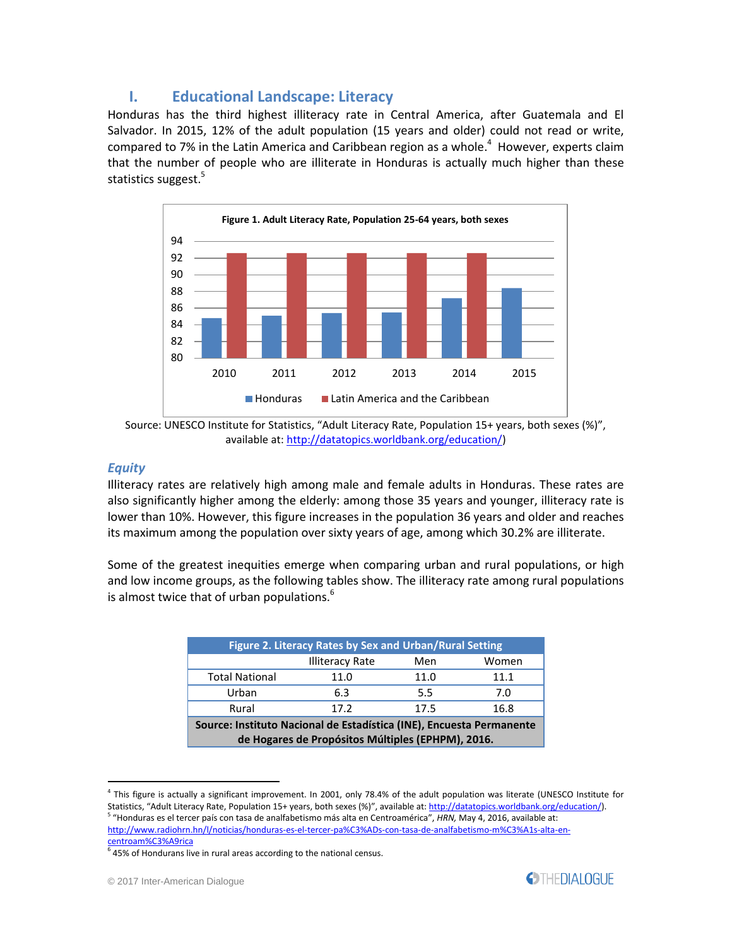## **I. Educational Landscape: Literacy**

Honduras has the third highest illiteracy rate in Central America, after Guatemala and El Salvador. In 2015, 12% of the adult population (15 years and older) could not read or write, compared to 7% in the Latin America and Caribbean region as a whole.<sup>4</sup> However, experts claim that the number of people who are illiterate in Honduras is actually much higher than these statistics suggest.<sup>5</sup>



Source: UNESCO Institute for Statistics, "Adult Literacy Rate, Population 15+ years, both sexes (%)", available at: [http://datatopics.worldbank.org/education/\)](http://datatopics.worldbank.org/education/)

#### *Equity*

 $\overline{a}$ 

Illiteracy rates are relatively high among male and female adults in Honduras. These rates are also significantly higher among the elderly: among those 35 years and younger, illiteracy rate is lower than 10%. However, this figure increases in the population 36 years and older and reaches its maximum among the population over sixty years of age, among which 30.2% are illiterate.

Some of the greatest inequities emerge when comparing urban and rural populations, or high and low income groups, as the following tables show. The illiteracy rate among rural populations is almost twice that of urban populations.<sup>6</sup>

| Figure 2. Literacy Rates by Sex and Urban/Rural Setting                                                                   |                        |      |       |  |
|---------------------------------------------------------------------------------------------------------------------------|------------------------|------|-------|--|
|                                                                                                                           | <b>Illiteracy Rate</b> | Men  | Women |  |
| <b>Total National</b>                                                                                                     | 11.0                   | 11.0 | 11.1  |  |
| Urban                                                                                                                     | 6.3                    | 5.5  | 7.0   |  |
| Rural                                                                                                                     | 17.2                   | 17.5 | 16.8  |  |
| Source: Instituto Nacional de Estadística (INE), Encuesta Permanente<br>de Hogares de Propósitos Múltiples (EPHPM), 2016. |                        |      |       |  |

<sup>4</sup> This figure is actually a significant improvement. In 2001, only 78.4% of the adult population was literate (UNESCO Institute for Statistics, "Adult Literacy Rate, Population 15+ years, both sexes (%)", available at: <u>http://datatopics.worldbank.org/education/</u>).<br><sup>5</sup> "Honduras es el tercer país con tasa de analfabetismo más alta en Centroamérica", *H* 



[http://www.radiohrn.hn/l/noticias/honduras-es-el-tercer-pa%C3%ADs-con-tasa-de-analfabetismo-m%C3%A1s-alta-en](http://www.radiohrn.hn/l/noticias/honduras-es-el-tercer-pa%C3%ADs-con-tasa-de-analfabetismo-m%C3%A1s-alta-en-centroam%C3%A9rica)[centroam%C3%A9rica](http://www.radiohrn.hn/l/noticias/honduras-es-el-tercer-pa%C3%ADs-con-tasa-de-analfabetismo-m%C3%A1s-alta-en-centroam%C3%A9rica) 6

<sup>45%</sup> of Hondurans live in rural areas according to the national census.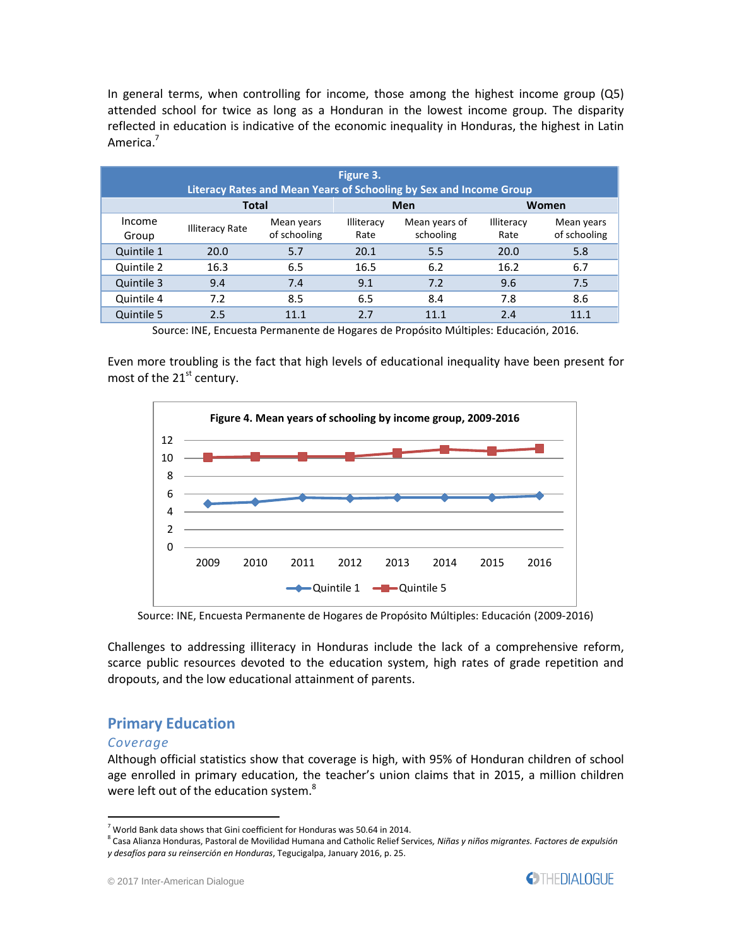In general terms, when controlling for income, those among the highest income group (Q5) attended school for twice as long as a Honduran in the lowest income group. The disparity reflected in education is indicative of the economic inequality in Honduras, the highest in Latin America.<sup>7</sup>

| Figure 3.<br>Literacy Rates and Mean Years of Schooling by Sex and Income Group |                        |                            |                    |                            |                    |                            |
|---------------------------------------------------------------------------------|------------------------|----------------------------|--------------------|----------------------------|--------------------|----------------------------|
|                                                                                 | <b>Total</b>           |                            |                    | Men                        | Women              |                            |
| Income<br>Group                                                                 | <b>Illiteracy Rate</b> | Mean years<br>of schooling | Illiteracy<br>Rate | Mean years of<br>schooling | Illiteracy<br>Rate | Mean years<br>of schooling |
| Quintile 1                                                                      | 20.0                   | 5.7                        | 20.1               | 5.5                        | 20.0               | 5.8                        |
| Quintile 2                                                                      | 16.3                   | 6.5                        | 16.5               | 6.2                        | 16.2               | 6.7                        |
| Quintile 3                                                                      | 9.4                    | 7.4                        | 9.1                | 7.2                        | 9.6                | 7.5                        |
| Quintile 4                                                                      | 7.2                    | 8.5                        | 6.5                | 8.4                        | 7.8                | 8.6                        |
| Quintile 5                                                                      | 2.5                    | 11.1                       | 2.7                | 11.1                       | 2.4                | 11.1                       |

Source: INE, Encuesta Permanente de Hogares de Propósito Múltiples: Educación, 2016.

Even more troubling is the fact that high levels of educational inequality have been present for most of the 21<sup>st</sup> century.



Source: INE, Encuesta Permanente de Hogares de Propósito Múltiples: Educación (2009-2016)

Challenges to addressing illiteracy in Honduras include the lack of a comprehensive reform, scarce public resources devoted to the education system, high rates of grade repetition and dropouts, and the low educational attainment of parents.

## **Primary Education**

#### *Coverage*

 $\overline{a}$ 

Although official statistics show that coverage is high, with 95% of Honduran children of school age enrolled in primary education, the teacher's union claims that in 2015, a million children were left out of the education system.<sup>8</sup>



 $7$  World Bank data shows that Gini coefficient for Honduras was 50.64 in 2014.

<sup>8</sup> Casa Alianza Honduras, Pastoral de Movilidad Humana and Catholic Relief Services*, Niñas y niños migrantes. Factores de expulsión y desafíos para su reinserción en Honduras*, Tegucigalpa, January 2016, p. 25.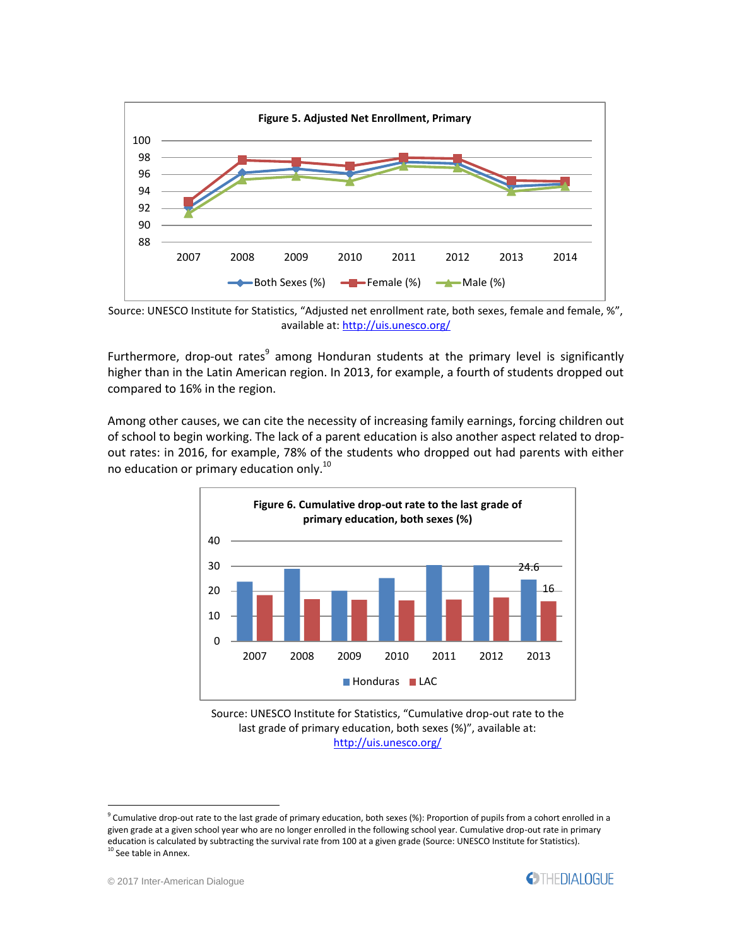

Source: UNESCO Institute for Statistics, "Adjusted net enrollment rate, both sexes, female and female, %", available at[: http://uis.unesco.org/](http://uis.unesco.org/)

Furthermore, drop-out rates<sup>9</sup> among Honduran students at the primary level is significantly higher than in the Latin American region. In 2013, for example, a fourth of students dropped out compared to 16% in the region.

Among other causes, we can cite the necessity of increasing family earnings, forcing children out of school to begin working. The lack of a parent education is also another aspect related to dropout rates: in 2016, for example, 78% of the students who dropped out had parents with either no education or primary education only.<sup>10</sup>







<sup>&</sup>lt;sup>9</sup> Cumulative drop-out rate to the last grade of primary education, both sexes (%): Proportion of pupils from a cohort enrolled in a given grade at a given school year who are no longer enrolled in the following school year. Cumulative drop-out rate in primary education is calculated by subtracting the survival rate from 100 at a given grade (Source: UNESCO Institute for Statistics). See table in Annex.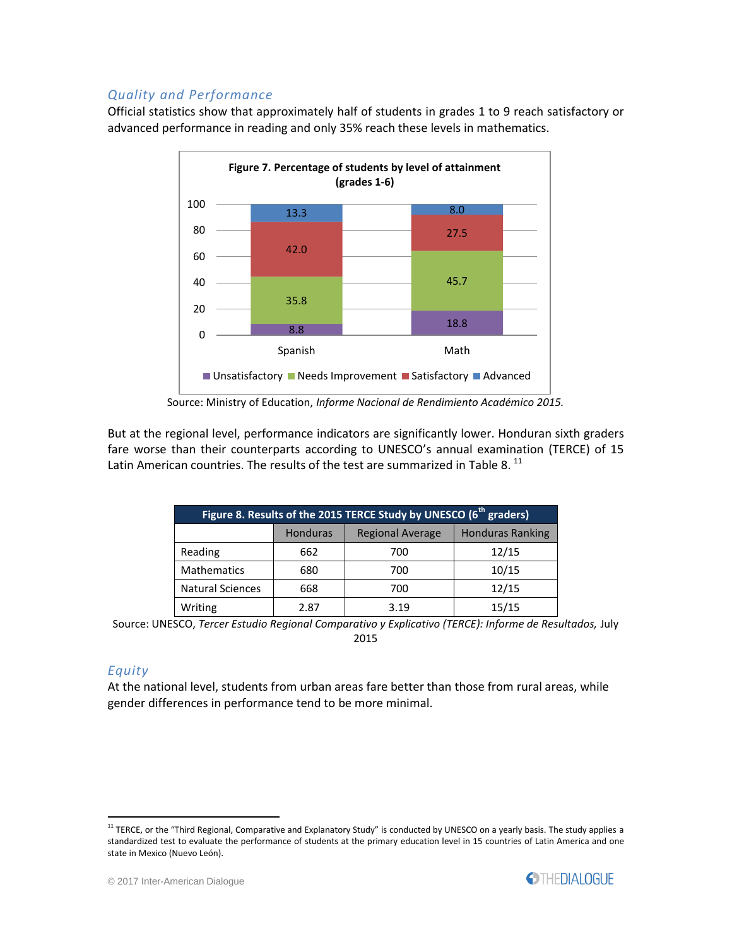#### *Quality and Performance*

Official statistics show that approximately half of students in grades 1 to 9 reach satisfactory or advanced performance in reading and only 35% reach these levels in mathematics.



Source: Ministry of Education, *Informe Nacional de Rendimiento Académico 2015.*

But at the regional level, performance indicators are significantly lower. Honduran sixth graders fare worse than their counterparts according to UNESCO's annual examination (TERCE) of 15 Latin American countries. The results of the test are summarized in Table 8.  $^{\rm 11}$ 

| Figure 8. Results of the 2015 TERCE Study by UNESCO (6 <sup>th</sup> graders) |                 |                         |                         |  |
|-------------------------------------------------------------------------------|-----------------|-------------------------|-------------------------|--|
|                                                                               | <b>Honduras</b> | <b>Regional Average</b> | <b>Honduras Ranking</b> |  |
| Reading                                                                       | 662             | 700                     | 12/15                   |  |
| <b>Mathematics</b>                                                            | 680             | 700                     | 10/15                   |  |
| <b>Natural Sciences</b>                                                       | 668             | 700                     | 12/15                   |  |
| Writing                                                                       | 2.87            | 3.19                    | 15/15                   |  |

Source: UNESCO, *Tercer Estudio Regional Comparativo y Explicativo (TERCE): Informe de Resultados, July* 2015

#### *Equity*

 $\overline{a}$ 

At the national level, students from urban areas fare better than those from rural areas, while gender differences in performance tend to be more minimal.

<sup>&</sup>lt;sup>11</sup> TERCE, or the "Third Regional, Comparative and Explanatory Study" is conducted by UNESCO on a yearly basis. The study applies a standardized test to evaluate the performance of students at the primary education level in 15 countries of Latin America and one state in Mexico (Nuevo León).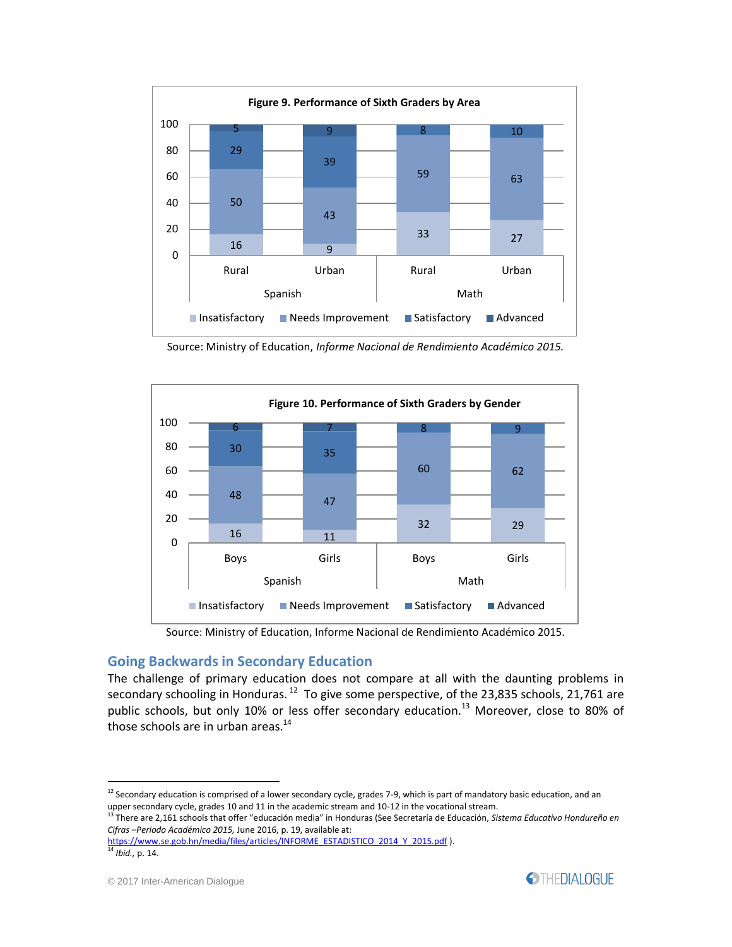

Source: Ministry of Education, *Informe Nacional de Rendimiento Académico 2015.*



Source: Ministry of Education, Informe Nacional de Rendimiento Académico 2015.

#### **Going Backwards in Secondary Education**

The challenge of primary education does not compare at all with the daunting problems in secondary schooling in Honduras.<sup>12</sup> To give some perspective, of the 23,835 schools, 21,761 are public schools, but only 10% or less offer secondary education.<sup>13</sup> Moreover, close to 80% of those schools are in urban areas.<sup>14</sup>

[https://www.se.gob.hn/media/files/articles/INFORME\\_ESTADISTICO\\_2014\\_Y\\_2015.pdf](https://www.se.gob.hn/media/files/articles/INFORME_ESTADISTICO_2014_Y_2015.pdf) ).

 $12$  Secondary education is comprised of a lower secondary cycle, grades 7-9, which is part of mandatory basic education, and an upper secondary cycle, grades 10 and 11 in the academic stream and 10-12 in the vocational stream.

<sup>13</sup> There are 2,161 schools that offer "educación media" in Honduras (See Secretaría de Educación, *Sistema Educativo Hondureño en Cifras –Periodo Académico 2015,* June 2016, p. 19, available at:

<sup>14</sup> *Ibid.,* p. 14.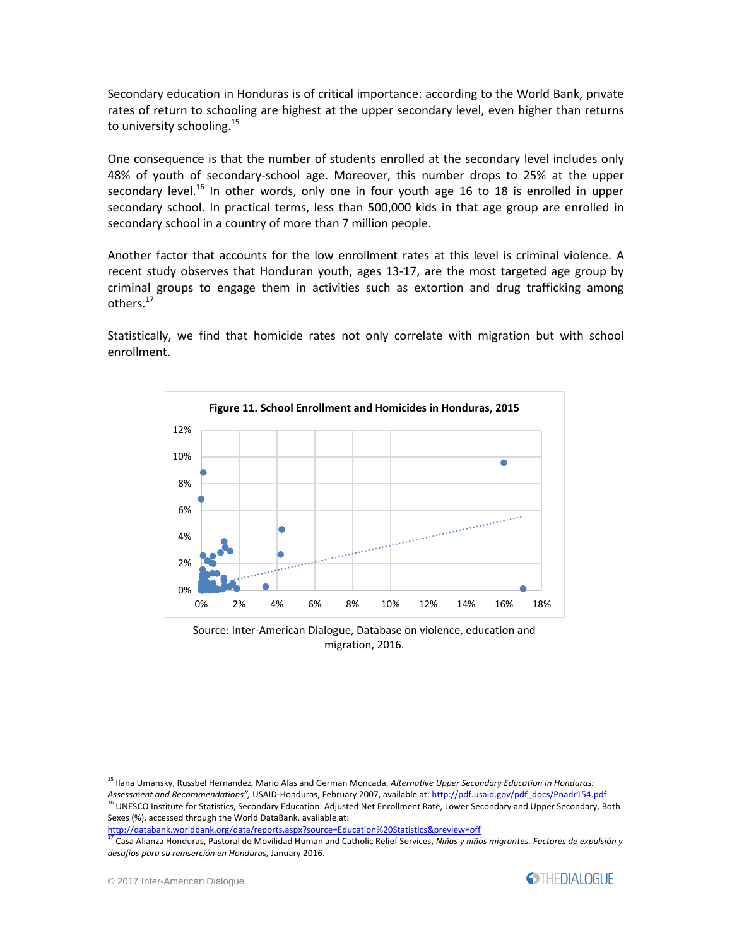Secondary education in Honduras is of critical importance: according to the World Bank, private rates of return to schooling are highest at the upper secondary level, even higher than returns to university schooling.<sup>15</sup>

One consequence is that the number of students enrolled at the secondary level includes only 48% of youth of secondary-school age. Moreover, this number drops to 25% at the upper secondary level.<sup>16</sup> In other words, only one in four youth age 16 to 18 is enrolled in upper secondary school. In practical terms, less than 500,000 kids in that age group are enrolled in secondary school in a country of more than 7 million people.

Another factor that accounts for the low enrollment rates at this level is criminal violence. A recent study observes that Honduran youth, ages 13-17, are the most targeted age group by criminal groups to engage them in activities such as extortion and drug trafficking among others.<sup>17</sup>

Statistically, we find that homicide rates not only correlate with migration but with school enrollment.



Source: Inter-American Dialogue, Database on violence, education and migration, 2016.

<sup>15</sup> Ilana Umansky, Russbel Hernandez, Mario Alas and German Moncada, *Alternative Upper Secondary Education in Honduras:* 

*Assessment and Recommendations",* USAID-Honduras, February 2007, available at[: http://pdf.usaid.gov/pdf\\_docs/Pnadr154.pdf](http://pdf.usaid.gov/pdf_docs/Pnadr154.pdf)

<sup>&</sup>lt;sup>16</sup> UNESCO Institute for Statistics, Secondary Education: Adjusted Net Enrollment Rate, Lower Secondary and Upper Secondary, Both Sexes (%), accessed through the World DataBank, available at:

<http://databank.worldbank.org/data/reports.aspx?source=Education%20Statistics&preview=off>

<sup>17</sup> Casa Alianza Honduras, Pastoral de Movilidad Human and Catholic Relief Services, *Niñas y niños migrantes. Factores de expulsión y desafíos para su reinserción en Honduras,* January 2016.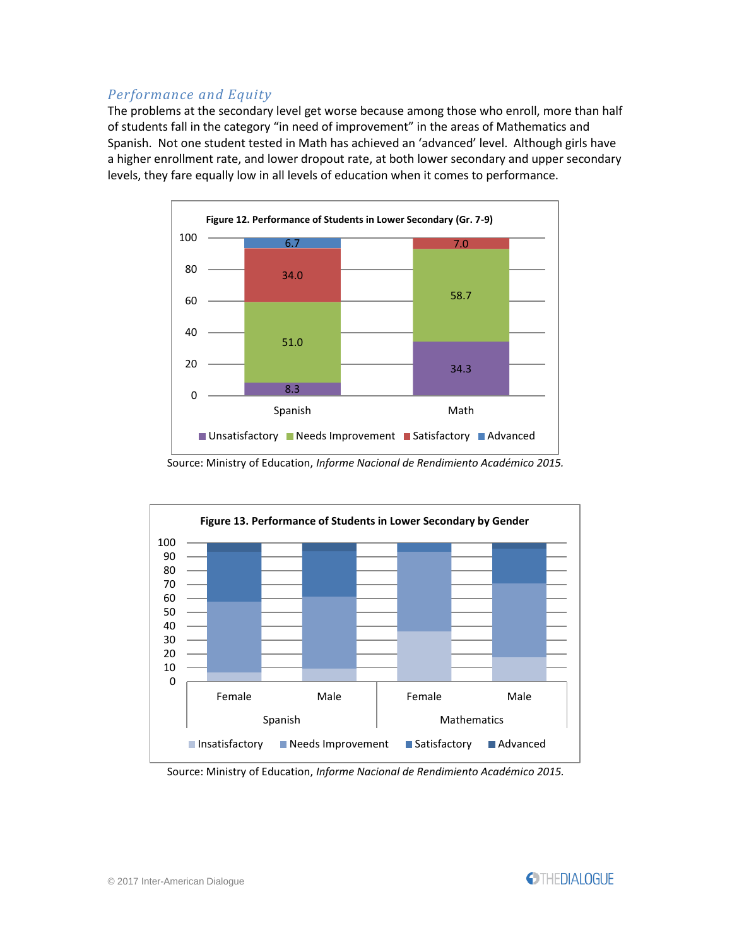### *Performance and Equity*

The problems at the secondary level get worse because among those who enroll, more than half of students fall in the category "in need of improvement" in the areas of Mathematics and Spanish. Not one student tested in Math has achieved an 'advanced' level. Although girls have a higher enrollment rate, and lower dropout rate, at both lower secondary and upper secondary levels, they fare equally low in all levels of education when it comes to performance.



Source: Ministry of Education, *Informe Nacional de Rendimiento Académico 2015.*



Source: Ministry of Education, *Informe Nacional de Rendimiento Académico 2015.*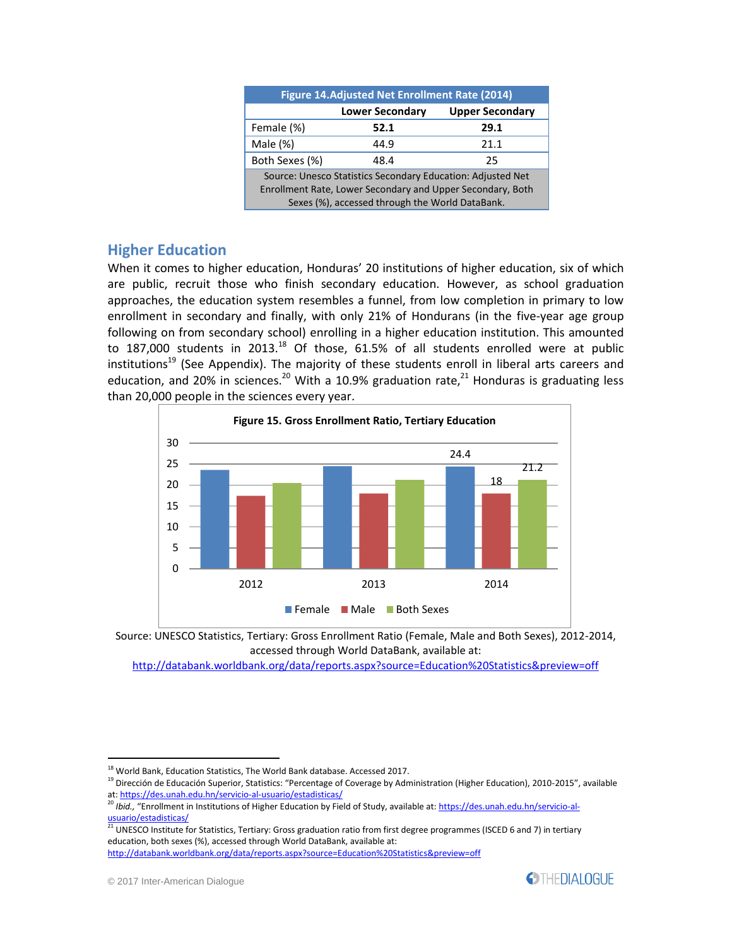| Figure 14. Adjusted Net Enrollment Rate (2014)                                                                                                                               |                        |                        |  |  |
|------------------------------------------------------------------------------------------------------------------------------------------------------------------------------|------------------------|------------------------|--|--|
|                                                                                                                                                                              | <b>Lower Secondary</b> | <b>Upper Secondary</b> |  |  |
| Female (%)                                                                                                                                                                   | 52.1                   | 29.1                   |  |  |
| Male (%)                                                                                                                                                                     | 44.9                   | 21.1                   |  |  |
| Both Sexes (%)                                                                                                                                                               | 48.4                   | 25                     |  |  |
| Source: Unesco Statistics Secondary Education: Adjusted Net<br>Enrollment Rate, Lower Secondary and Upper Secondary, Both<br>Sexes (%), accessed through the World DataBank. |                        |                        |  |  |

#### **Higher Education**

When it comes to higher education, Honduras' 20 institutions of higher education, six of which are public, recruit those who finish secondary education. However, as school graduation approaches, the education system resembles a funnel, from low completion in primary to low enrollment in secondary and finally, with only 21% of Hondurans (in the five-year age group following on from secondary school) enrolling in a higher education institution. This amounted to 187,000 students in 2013.<sup>18</sup> Of those,  $61.5%$  of all students enrolled were at public institutions<sup>19</sup> (See Appendix). The majority of these students enroll in liberal arts careers and education, and 20% in sciences.<sup>20</sup> With a 10.9% graduation rate,<sup>21</sup> Honduras is graduating less than 20,000 people in the sciences every year.





<http://databank.worldbank.org/data/reports.aspx?source=Education%20Statistics&preview=off>



 $\overline{a}$  $^{18}$  World Bank, Education Statistics, The World Bank database. Accessed 2017.

<sup>&</sup>lt;sup>19</sup> Dirección de Educación Superior, Statistics: "Percentage of Coverage by Administration (Higher Education), 2010-2015", available at[: https://des.unah.edu.hn/servicio-al-usuario/estadisticas/](https://des.unah.edu.hn/servicio-al-usuario/estadisticas/)<br>20 Ibid. "Free standhedu.hn/servicio-al-usuario/estadisticas/

<sup>&</sup>lt;sup>0</sup> *Ibid., "*Enrollment in Institutions of Higher Education by Field of Study, available at: <u>https://des.unah.edu.hn/servicio-al-</u> [usuario/estadisticas/](https://des.unah.edu.hn/servicio-al-usuario/estadisticas/)

<sup>&</sup>lt;sup>21</sup> UNESCO Institute for Statistics, Tertiary: Gross graduation ratio from first degree programmes (ISCED 6 and 7) in tertiary education, both sexes (%), accessed through World DataBank, available at: <http://databank.worldbank.org/data/reports.aspx?source=Education%20Statistics&preview=off>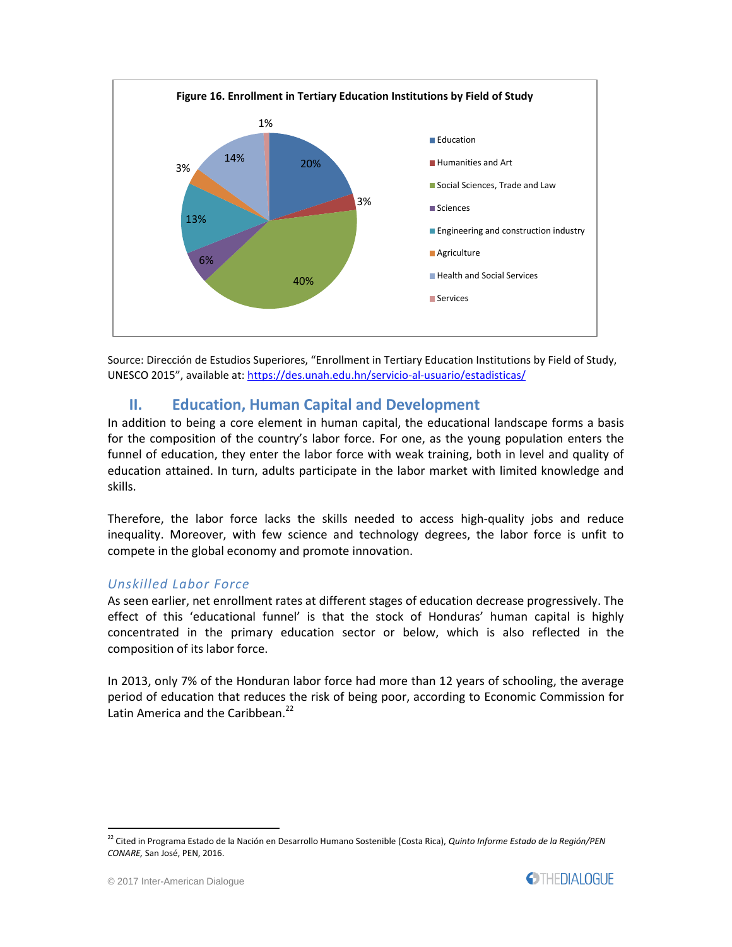

Source: Dirección de Estudios Superiores, "Enrollment in Tertiary Education Institutions by Field of Study, UNESCO 2015", available at: <https://des.unah.edu.hn/servicio-al-usuario/estadisticas/>

## **II. Education, Human Capital and Development**

In addition to being a core element in human capital, the educational landscape forms a basis for the composition of the country's labor force. For one, as the young population enters the funnel of education, they enter the labor force with weak training, both in level and quality of education attained. In turn, adults participate in the labor market with limited knowledge and skills.

Therefore, the labor force lacks the skills needed to access high-quality jobs and reduce inequality. Moreover, with few science and technology degrees, the labor force is unfit to compete in the global economy and promote innovation.

#### *Unskilled Labor Force*

As seen earlier, net enrollment rates at different stages of education decrease progressively. The effect of this 'educational funnel' is that the stock of Honduras' human capital is highly concentrated in the primary education sector or below, which is also reflected in the composition of its labor force.

In 2013, only 7% of the Honduran labor force had more than 12 years of schooling, the average period of education that reduces the risk of being poor, according to Economic Commission for Latin America and the Caribbean.<sup>22</sup>

<sup>22</sup> Cited in Programa Estado de la Nación en Desarrollo Humano Sostenible (Costa Rica), *Quinto Informe Estado de la Región/PEN CONARE,* San José, PEN, 2016.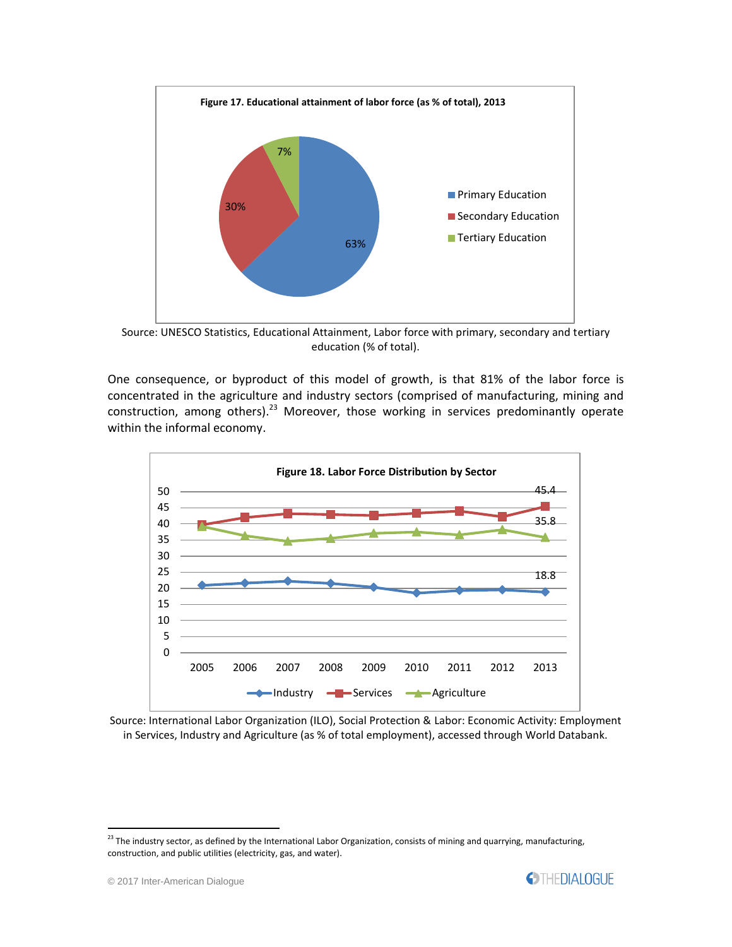

Source: UNESCO Statistics, Educational Attainment, Labor force with primary, secondary and tertiary education (% of total).

One consequence, or byproduct of this model of growth, is that 81% of the labor force is concentrated in the agriculture and industry sectors (comprised of manufacturing, mining and construction, among others).<sup>23</sup> Moreover, those working in services predominantly operate within the informal economy.



Source: International Labor Organization (ILO), Social Protection & Labor: Economic Activity: Employment in Services, Industry and Agriculture (as % of total employment), accessed through World Databank.

 $^{23}$  The industry sector, as defined by the International Labor Organization, consists of mining and quarrying, manufacturing, construction, and public utilities (electricity, gas, and water).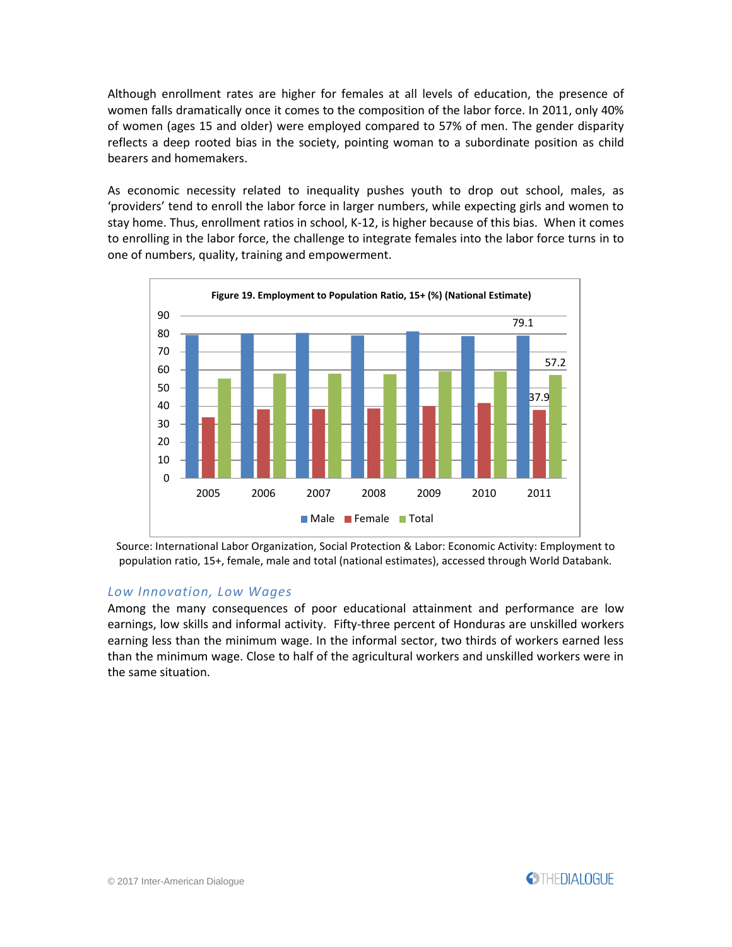Although enrollment rates are higher for females at all levels of education, the presence of women falls dramatically once it comes to the composition of the labor force. In 2011, only 40% of women (ages 15 and older) were employed compared to 57% of men. The gender disparity reflects a deep rooted bias in the society, pointing woman to a subordinate position as child bearers and homemakers.

As economic necessity related to inequality pushes youth to drop out school, males, as 'providers' tend to enroll the labor force in larger numbers, while expecting girls and women to stay home. Thus, enrollment ratios in school, K-12, is higher because of this bias. When it comes to enrolling in the labor force, the challenge to integrate females into the labor force turns in to one of numbers, quality, training and empowerment.



Source: International Labor Organization, Social Protection & Labor: Economic Activity: Employment to population ratio, 15+, female, male and total (national estimates), accessed through World Databank.

#### *Low Innovation, Low Wages*

Among the many consequences of poor educational attainment and performance are low earnings, low skills and informal activity. Fifty-three percent of Honduras are unskilled workers earning less than the minimum wage. In the informal sector, two thirds of workers earned less than the minimum wage. Close to half of the agricultural workers and unskilled workers were in the same situation.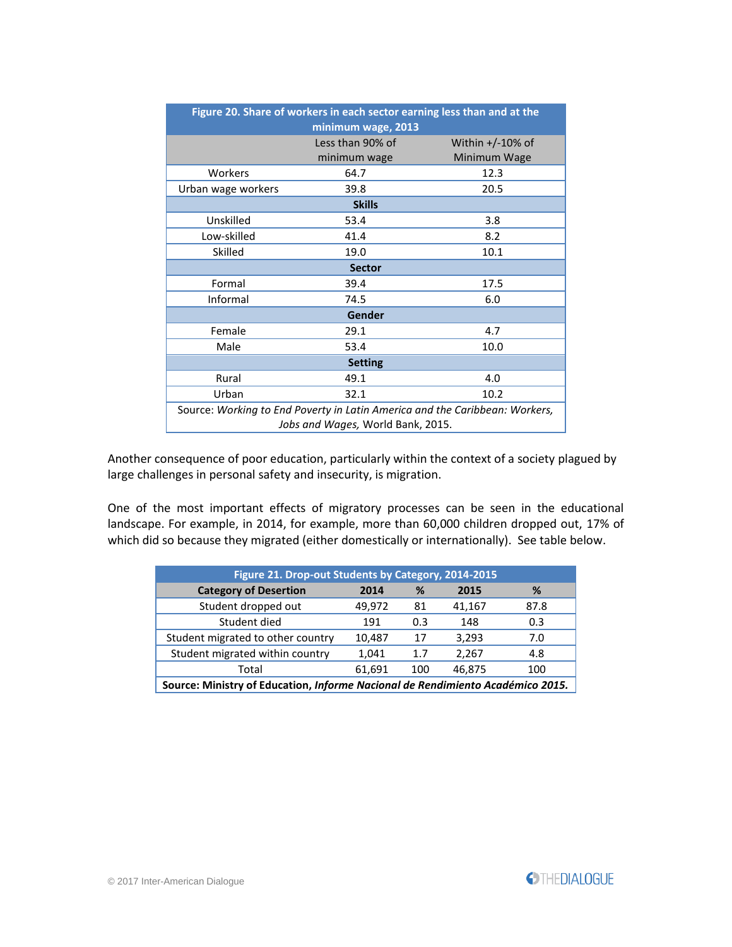| Figure 20. Share of workers in each sector earning less than and at the<br>minimum wage, 2013 |                  |                     |  |  |  |
|-----------------------------------------------------------------------------------------------|------------------|---------------------|--|--|--|
|                                                                                               | Less than 90% of | Within $+/-10\%$ of |  |  |  |
|                                                                                               | minimum wage     | Minimum Wage        |  |  |  |
| Workers                                                                                       | 64.7             | 12.3                |  |  |  |
| 20.5<br>39.8<br>Urban wage workers                                                            |                  |                     |  |  |  |
|                                                                                               | <b>Skills</b>    |                     |  |  |  |
| Unskilled                                                                                     | 53.4             | 3.8                 |  |  |  |
| Low-skilled                                                                                   | 41.4             | 8.2                 |  |  |  |
| Skilled                                                                                       | 19.0             | 10.1                |  |  |  |
| <b>Sector</b>                                                                                 |                  |                     |  |  |  |
| Formal                                                                                        | 39.4             | 17.5                |  |  |  |
| Informal                                                                                      | 74.5             | 6.0                 |  |  |  |
| Gender                                                                                        |                  |                     |  |  |  |
| Female                                                                                        | 29.1             | 4.7                 |  |  |  |
| Male                                                                                          | 53.4             | 10.0                |  |  |  |
| <b>Setting</b>                                                                                |                  |                     |  |  |  |
| Rural                                                                                         | 49.1             | 4.0                 |  |  |  |
| Urban                                                                                         | 32.1             | 10.2                |  |  |  |
| Source: Working to End Poverty in Latin America and the Caribbean: Workers,                   |                  |                     |  |  |  |
| Jobs and Wages, World Bank, 2015.                                                             |                  |                     |  |  |  |

Another consequence of poor education, particularly within the context of a society plagued by large challenges in personal safety and insecurity, is migration.

One of the most important effects of migratory processes can be seen in the educational landscape. For example, in 2014, for example, more than 60,000 children dropped out, 17% of which did so because they migrated (either domestically or internationally). See table below.

| Figure 21. Drop-out Students by Category, 2014-2015                            |        |     |        |      |
|--------------------------------------------------------------------------------|--------|-----|--------|------|
| <b>Category of Desertion</b>                                                   | 2014   | %   | 2015   | %    |
| Student dropped out                                                            | 49,972 | 81  | 41,167 | 87.8 |
| Student died                                                                   | 191    | 0.3 | 148    | 0.3  |
| Student migrated to other country                                              | 10,487 | 17  | 3,293  | 7.0  |
| Student migrated within country                                                | 1,041  | 1.7 | 2,267  | 4.8  |
| Total                                                                          | 61,691 | 100 | 46,875 | 100  |
| Source: Ministry of Education, Informe Nacional de Rendimiento Académico 2015. |        |     |        |      |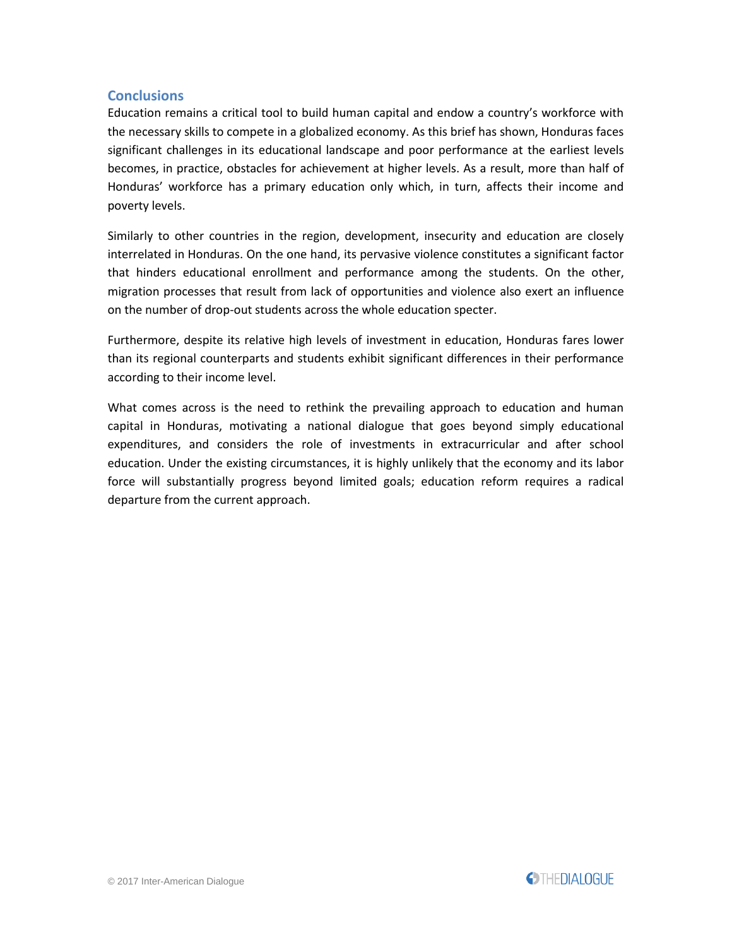#### **Conclusions**

Education remains a critical tool to build human capital and endow a country's workforce with the necessary skills to compete in a globalized economy. As this brief has shown, Honduras faces significant challenges in its educational landscape and poor performance at the earliest levels becomes, in practice, obstacles for achievement at higher levels. As a result, more than half of Honduras' workforce has a primary education only which, in turn, affects their income and poverty levels.

Similarly to other countries in the region, development, insecurity and education are closely interrelated in Honduras. On the one hand, its pervasive violence constitutes a significant factor that hinders educational enrollment and performance among the students. On the other, migration processes that result from lack of opportunities and violence also exert an influence on the number of drop-out students across the whole education specter.

Furthermore, despite its relative high levels of investment in education, Honduras fares lower than its regional counterparts and students exhibit significant differences in their performance according to their income level.

What comes across is the need to rethink the prevailing approach to education and human capital in Honduras, motivating a national dialogue that goes beyond simply educational expenditures, and considers the role of investments in extracurricular and after school education. Under the existing circumstances, it is highly unlikely that the economy and its labor force will substantially progress beyond limited goals; education reform requires a radical departure from the current approach.